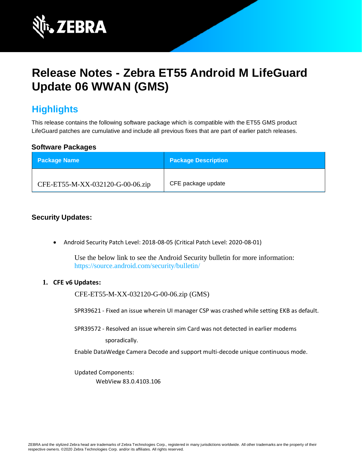

# **Release Notes - Zebra ET55 Android M LifeGuard Update 06 WWAN (GMS)**

## **Highlights**

This release contains the following software package which is compatible with the ET55 GMS product LifeGuard patches are cumulative and include all previous fixes that are part of earlier patch releases.

### **Software Packages**

| <b>Package Name</b>              | <b>Package Description</b> |
|----------------------------------|----------------------------|
| CFE-ET55-M-XX-032120-G-00-06.zip | CFE package update         |

### **Security Updates:**

• Android Security Patch Level: 2018-08-05 (Critical Patch Level: 2020-08-01)

Use the below link to see the Android Security bulletin for more information: <https://source.android.com/security/bulletin/>

### **1. CFE v6 Updates:**

CFE-ET55-M-XX-032120-G-00-06.zip (GMS)

SPR39621 - Fixed an issue wherein UI manager CSP was crashed while setting EKB as default.

SPR39572 - Resolved an issue wherein sim Card was not detected in earlier modems sporadically.

Enable DataWedge Camera Decode and support multi-decode unique continuous mode.

Updated Components:

WebView 83.0.4103.106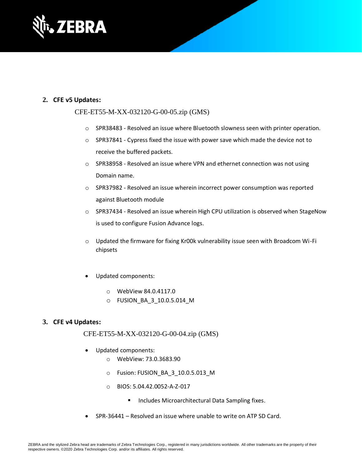

#### **2. CFE v5 Updates:**

#### CFE-ET55-M-XX-032120-G-00-05.zip (GMS)

- o SPR38483 Resolved an issue where Bluetooth slowness seen with printer operation.
- $\circ$  SPR37841 Cypress fixed the issue with power save which made the device not to receive the buffered packets.
- $\circ$  SPR38958 Resolved an issue where VPN and ethernet connection was not using Domain name.
- o SPR37982 Resolved an issue wherein incorrect power consumption was reported against Bluetooth module
- o SPR37434 Resolved an issue wherein High CPU utilization is observed when StageNow is used to configure Fusion Advance logs.
- $\circ$  Updated the firmware for fixing Kr00k vulnerability issue seen with Broadcom Wi-Fi chipsets
- Updated components:
	- o WebView 84.0.4117.0
	- o FUSION\_BA\_3\_10.0.5.014\_M

#### **3. CFE v4 Updates:**

CFE-ET55-M-XX-032120-G-00-04.zip (GMS)

- Updated components:
	- o WebView: 73.0.3683.90
	- o Fusion: FUSION\_BA\_3\_10.0.5.013\_M
	- o BIOS: 5.04.42.0052-A-Z-017
		- Includes Microarchitectural Data Sampling fixes.
- SPR-36441 Resolved an issue where unable to write on ATP SD Card.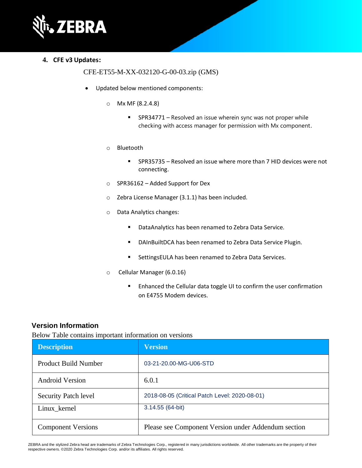

### **4. CFE v3 Updates:**

CFE-ET55-M-XX-032120-G-00-03.zip (GMS)

- Updated below mentioned components:
	- o Mx MF (8.2.4.8)
		- SPR34771 Resolved an issue wherein sync was not proper while checking with access manager for permission with Mx component.
	- o Bluetooth
		- SPR35735 Resolved an issue where more than 7 HID devices were not connecting.
	- o SPR36162 Added Support for Dex
	- o Zebra License Manager (3.1.1) has been included.
	- o Data Analytics changes:
		- DataAnalytics has been renamed to Zebra Data Service.
		- DAInBuiltDCA has been renamed to Zebra Data Service Plugin.
		- SettingsEULA has been renamed to Zebra Data Services.
	- o Cellular Manager (6.0.16)
		- Enhanced the Cellular data toggle UI to confirm the user confirmation on E4755 Modem devices.

### **Version Information**

Below Table contains important information on versions

| <b>Description</b>          | <b>Version</b>                                      |
|-----------------------------|-----------------------------------------------------|
| <b>Product Build Number</b> | 03-21-20.00-MG-U06-STD                              |
| <b>Android Version</b>      | 6.0.1                                               |
| <b>Security Patch level</b> | 2018-08-05 (Critical Patch Level: 2020-08-01)       |
| Linux_kernel                | 3.14.55 (64-bit)                                    |
| <b>Component Versions</b>   | Please see Component Version under Addendum section |

ZEBRA and the stylized Zebra head are trademarks of Zebra Technologies Corp., registered in many jurisdictions worldwide. All other trademarks are the property of their respective owners. ©2020 Zebra Technologies Corp. and/or its affiliates. All rights reserved.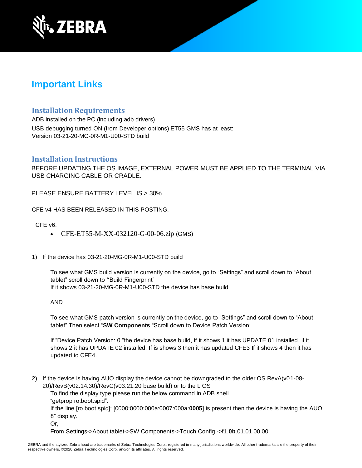

### **Important Links**

### **Installation Requirements**

ADB installed on the PC (including adb drivers) USB debugging turned ON (from Developer options) ET55 GMS has at least: Version 03-21-20-MG-0R-M1-U00-STD build

### **Installation Instructions**

BEFORE UPDATING THE OS IMAGE, EXTERNAL POWER MUST BE APPLIED TO THE TERMINAL VIA USB CHARGING CABLE OR CRADLE.

PLEASE ENSURE BATTERY LEVEL IS > 30%

CFE v4 HAS BEEN RELEASED IN THIS POSTING.

CFE v6:

- CFE-ET55-M-XX-032120-G-00-06.zip (GMS)
- 1) If the device has 03-21-20-MG-0R-M1-U00-STD build

To see what GMS build version is currently on the device, go to "Settings" and scroll down to "About tablet" scroll down to **"**Build Fingerprint" If it shows 03-21-20-MG-0R-M1-U00-STD the device has base build

#### AND

To see what GMS patch version is currently on the device, go to "Settings" and scroll down to "About tablet" Then select "**SW Components** "Scroll down to Device Patch Version:

If "Device Patch Version: 0 "the device has base build, if it shows 1 it has UPDATE 01 installed, if it shows 2 it has UPDATE 02 installed. If is shows 3 then it has updated CFE3 If it shows 4 then it has updated to CFE4.

2) If the device is having AUO display the device cannot be downgraded to the older OS RevA(v01-08- 20)/RevB(v02.14.30)/RevC(v03.21.20 base build) or to the L OS

To find the display type please run the below command in ADB shell "getprop ro.boot.spid".

If the line [ro.boot.spid]: [0000:0000:000a:0007:000a:**0005**] is present then the device is having the AUO 8" display.

Or,

From Settings->About tablet->SW Components->Touch Config ->f1.**0b**.01.01.00.00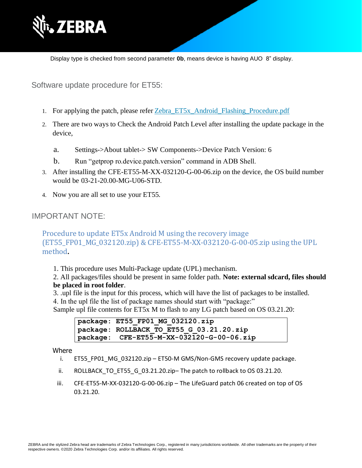

Display type is checked from second parameter **0b**, means device is having AUO 8" display.

Software update procedure for ET55:

- 1. For applying the patch, please refer [Zebra\\_ET5x\\_Android\\_Flashing\\_Procedure.pdf](https://www.zebra.com/content/dam/zebra_new_ia/en-us/software/operating-system/ET5X%20Operating%20System/Zebra-ET5x-Android-Flashing-Procedure.pdf)
- 2. There are two ways to Check the Android Patch Level after installing the update package in the device,
	- a. Settings->About tablet-> SW Components->Device Patch Version: 6
	- b. Run "getprop ro.device.patch.version" command in ADB Shell.
- 3. After installing the CFE-ET55-M-XX-032120-G-00-06.zip on the device, the OS build number would be 03-21-20.00-MG-U06-STD.
- 4. Now you are all set to use your ET55.

### IMPORTANT NOTE:

Procedure to update ET5x Android M using the recovery image (ET55 FP01 MG 032120.zip) & CFE-ET55-M-XX-032120-G-00-05.zip using the UPL method**.**

1. This procedure uses Multi-Package update (UPL) mechanism.

2. All packages/files should be present in same folder path. **Note: external sdcard, files should be placed in root folder**.

3. .upl file is the input for this process, which will have the list of packages to be installed.

4. In the upl file the list of package names should start with "package:"

Sample upl file contents for ET5x M to flash to any LG patch based on OS 03.21.20:

**package: ET55\_FP01\_MG\_032120.zip package: ROLLBACK\_TO\_ET55\_G\_03.21.20.zip package: CFE-ET55-M-XX-032120-G-00-06.zip**

**Where** 

- i. ET55 FP01 MG 032120.zip ET50-M GMS/Non-GMS recovery update package.
- ii. ROLLBACK TO ET55 G 03.21.20.zip– The patch to rollback to OS 03.21.20.
- iii. CFE-ET55-M-XX-032120-G-00-06.zip The LifeGuard patch 06 created on top of OS 03.21.20.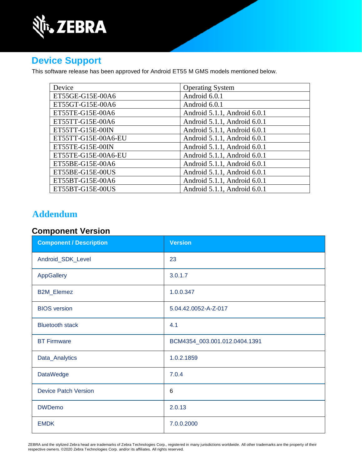

# **Device Support**

This software release has been approved for Android ET55 M GMS models mentioned below.

| Device              | <b>Operating System</b>      |  |
|---------------------|------------------------------|--|
| ET55GE-G15E-00A6    | Android 6.0.1                |  |
| ET55GT-G15E-00A6    | Android 6.0.1                |  |
| ET55TE-G15E-00A6    | Android 5.1.1, Android 6.0.1 |  |
| ET55TT-G15E-00A6    | Android 5.1.1, Android 6.0.1 |  |
| ET55TT-G15E-00IN    | Android 5.1.1, Android 6.0.1 |  |
| ET55TT-G15E-00A6-EU | Android 5.1.1, Android 6.0.1 |  |
| ET55TE-G15E-00IN    | Android 5.1.1, Android 6.0.1 |  |
| ET55TE-G15E-00A6-EU | Android 5.1.1, Android 6.0.1 |  |
| ET55BE-G15E-00A6    | Android 5.1.1, Android 6.0.1 |  |
| ET55BE-G15E-00US    | Android 5.1.1, Android 6.0.1 |  |
| ET55BT-G15E-00A6    | Android 5.1.1, Android 6.0.1 |  |
| ET55BT-G15E-00US    | Android 5.1.1, Android 6.0.1 |  |

### **Addendum**

### **Component Version**

| <b>Component / Description</b> | <b>Version</b>                |
|--------------------------------|-------------------------------|
| Android_SDK_Level              | 23                            |
| AppGallery                     | 3.0.1.7                       |
| B2M_Elemez                     | 1.0.0.347                     |
| <b>BIOS</b> version            | 5.04.42.0052-A-Z-017          |
| <b>Bluetooth stack</b>         | 4.1                           |
| <b>BT Firmware</b>             | BCM4354_003.001.012.0404.1391 |
| Data_Analytics                 | 1.0.2.1859                    |
| <b>DataWedge</b>               | 7.0.4                         |
| <b>Device Patch Version</b>    | 6                             |
| <b>DWDemo</b>                  | 2.0.13                        |
| <b>EMDK</b>                    | 7.0.0.2000                    |

ZEBRA and the stylized Zebra head are trademarks of Zebra Technologies Corp., registered in many jurisdictions worldwide. All other trademarks are the property of their respective owners. ©2020 Zebra Technologies Corp. and/or its affiliates. All rights reserved.